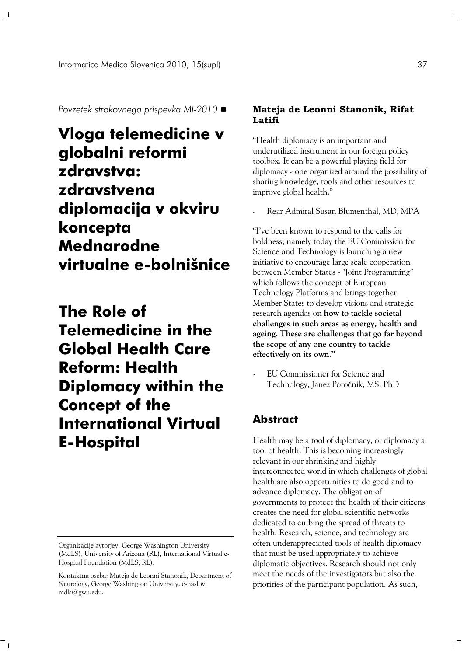*Povzetek strokovnega prispevka MI-2010*

## **Vloga telemedicine v globalni reformi zdravstva: zdravstvena diplomacija v okviru koncepta Mednarodne virtualne e-bolnišnice**

**The Role of Telemedicine in the Global Health Care Reform: Health Diplomacy within the [Co](#page-0-0) ncept of the International Virtual E-Hospital**

 $^{-}$   $_{\perp}$ 

## **Mateja de Leonni Stanonik, Rifat Latifi**

"Health diplomacy is an important and underutilized instrument in our foreign policy toolbox. It can be a powerful playing field for diplomacy - one organized around the possibility of sharing knowledge, tools and other resources to improve global health."

Rear Admiral Susan Blumenthal, MD, MPA

"I've been known to respond to the calls for boldness; namely today the EU Commission for Science and Technology is launching a new initiative to encourage large scale cooperation between Member States - "Joint Programming" which follows the concept of European Technology Platforms and brings together Member States to develop visions and strategic research agendas on **how to tackle societal challenges in such areas as energy, health and ageing**. **These are challenges that go far beyond the scope of any one country to tackle effectively on its own."**

- EU Commissioner for Science and Technology, Janez Potočnik, MS, PhD

## **Abstract**

Health may be a tool of diplomacy, or diplomacy a tool of health. This is becoming increasingly relevant in our shrinking and highly interconnected world in which challenges of global health are also opportunities to do good and to advance diplomacy. The obligation of governments to protect the health of their citizens creates the need for global scientific networks dedicated to curbing the spread of threats to health. Research, science, and technology are often underappreciated tools of health diplomacy that must be used appropriately to achieve diplomatic objectives. Research should not only meet the needs of the investigators but also the priorities of the participant population. As such,

 $\mathbb{R}^n$ 

 $\mathbb{L}^+$ 

<span id="page-0-0"></span>Organizacije avtorjev: George Washington University (MdLS), University of Arizona (RL), International Virtual e-Hospital Foundation (MdLS, RL).

Kontaktna oseba: Mateja de Leonni Stanonik, Department of Neurology, George Washington University. e-naslov: mdls@gwu.edu.